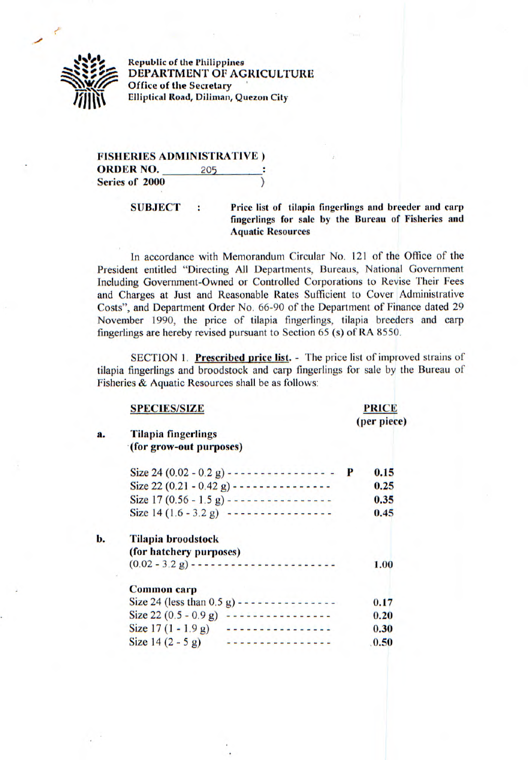

**Republic of the Philippines DEPARTMENT OF AGRICULTURE Office of the Secretary Elliptical Road, Diliman, Quezon City** 

## **FISHERIES ADMINISTRATIVE) ORDER NO.** 205 **Series of 2000** )

**SUBJECT** : **Price list of tilapia fingerlings and breeder and carp fingerlings for sale by the Bureau of Fisheries and Aquatic Resources** 

**In** accordance with Memorandum Circular No. 121 of the Office of the President entitled "Directing All Departments, Bureaus, National Government Including Government-Owned or Controlled Corporations to Revise Their Fees and Charges at Just and Reasonable Rates Sufficient to Cover Administrative Costs", and Department Order No. 66-90 of the Department of Finance dated 29 November 1990, the price of tilapia fingerlings, tilapia breeders and carp fingerlings are hereby revised pursuant to Section 65 (s) of RA 8550.

SECTION 1. **Prescribed price list.** - The price list of improved strains of tilapia fingerlings and broodstock and carp fingerlings for sale by the Bureau of Fisheries & Aquatic Resources shall be as follows:

| <b>SPECIES/SIZE</b>        |                                                           | <b>PRICE</b> |
|----------------------------|-----------------------------------------------------------|--------------|
|                            |                                                           | (per piece)  |
| <b>Tilapia fingerlings</b> |                                                           |              |
| (for grow-out purposes)    |                                                           |              |
|                            | Size 24 (0.02 - 0.2 g) - - - - - - - - - - - - - - - - P  | 0.15         |
|                            | Size 22 $(0.21 - 0.42 g)$ - - - - - - - - - - - - - - -   | 0.25         |
|                            | Size $17 (0.56 - 1.5 g)$ ----------------                 | 0.35         |
|                            | Size $14(1.6 - 3.2 g)$ ----------------                   | 0.45         |
| Tilapia broodstock         |                                                           |              |
| (for hatchery purposes)    |                                                           |              |
|                            |                                                           | 1.00         |
| <b>Common</b> carp         |                                                           |              |
|                            | Size 24 (less than $0.5$ g) - - - - - - - - - - - - - - - | 0.17         |
| Size 22 $(0.5 - 0.9 g)$    | ----------------                                          | 0.20         |
| Size $17(1 - 1.9g)$        |                                                           | 0.30         |
| Size $14(2 - 5g)$          | .                                                         | .0.50        |